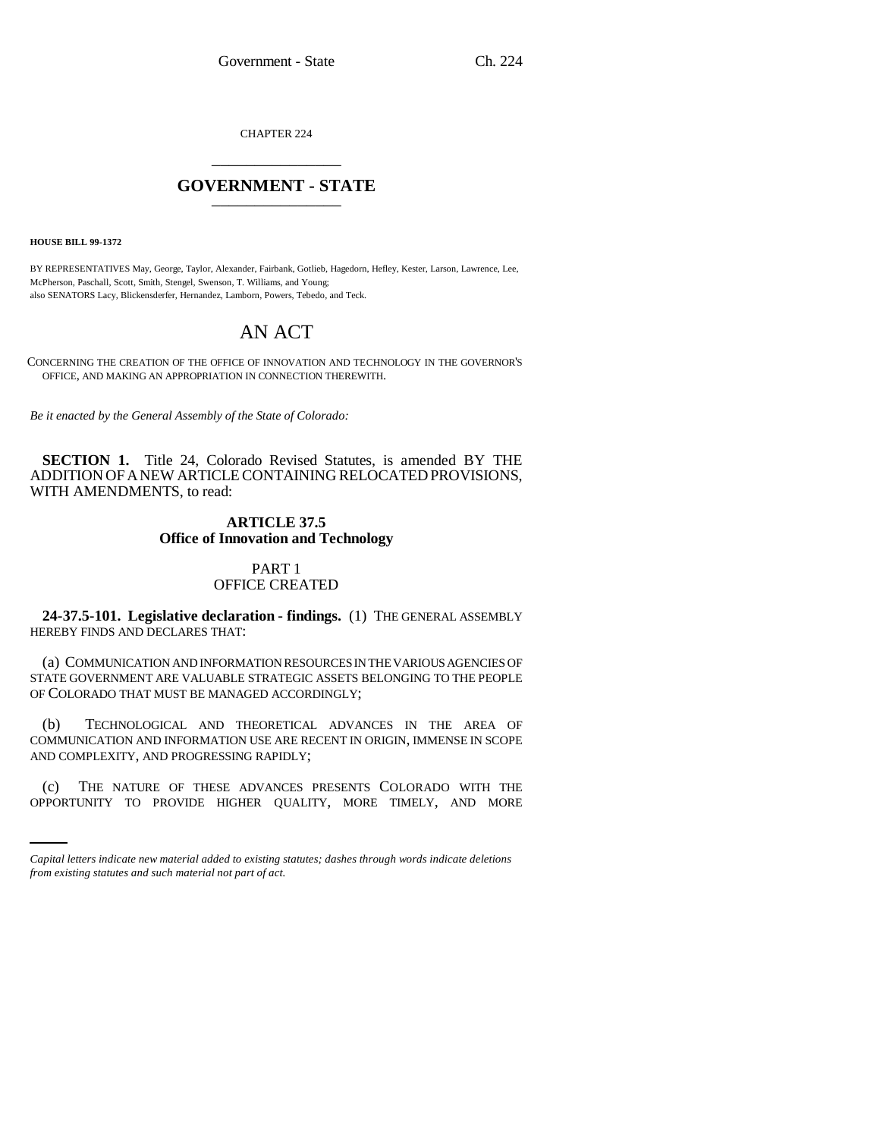CHAPTER 224 \_\_\_\_\_\_\_\_\_\_\_\_\_\_\_

## **GOVERNMENT - STATE** \_\_\_\_\_\_\_\_\_\_\_\_\_\_\_

**HOUSE BILL 99-1372** 

BY REPRESENTATIVES May, George, Taylor, Alexander, Fairbank, Gotlieb, Hagedorn, Hefley, Kester, Larson, Lawrence, Lee, McPherson, Paschall, Scott, Smith, Stengel, Swenson, T. Williams, and Young; also SENATORS Lacy, Blickensderfer, Hernandez, Lamborn, Powers, Tebedo, and Teck.

# AN ACT

CONCERNING THE CREATION OF THE OFFICE OF INNOVATION AND TECHNOLOGY IN THE GOVERNOR'S OFFICE, AND MAKING AN APPROPRIATION IN CONNECTION THEREWITH.

*Be it enacted by the General Assembly of the State of Colorado:*

**SECTION 1.** Title 24, Colorado Revised Statutes, is amended BY THE ADDITION OF A NEW ARTICLE CONTAINING RELOCATED PROVISIONS, WITH AMENDMENTS, to read:

## **ARTICLE 37.5 Office of Innovation and Technology**

## PART 1 OFFICE CREATED

**24-37.5-101. Legislative declaration - findings.** (1) THE GENERAL ASSEMBLY HEREBY FINDS AND DECLARES THAT:

(a) COMMUNICATION AND INFORMATION RESOURCES IN THE VARIOUS AGENCIES OF STATE GOVERNMENT ARE VALUABLE STRATEGIC ASSETS BELONGING TO THE PEOPLE OF COLORADO THAT MUST BE MANAGED ACCORDINGLY;

(b) TECHNOLOGICAL AND THEORETICAL ADVANCES IN THE AREA OF COMMUNICATION AND INFORMATION USE ARE RECENT IN ORIGIN, IMMENSE IN SCOPE AND COMPLEXITY, AND PROGRESSING RAPIDLY;

(c) THE NATURE OF THESE ADVANCES PRESENTS COLORADO WITH THE OPPORTUNITY TO PROVIDE HIGHER QUALITY, MORE TIMELY, AND MORE

*Capital letters indicate new material added to existing statutes; dashes through words indicate deletions from existing statutes and such material not part of act.*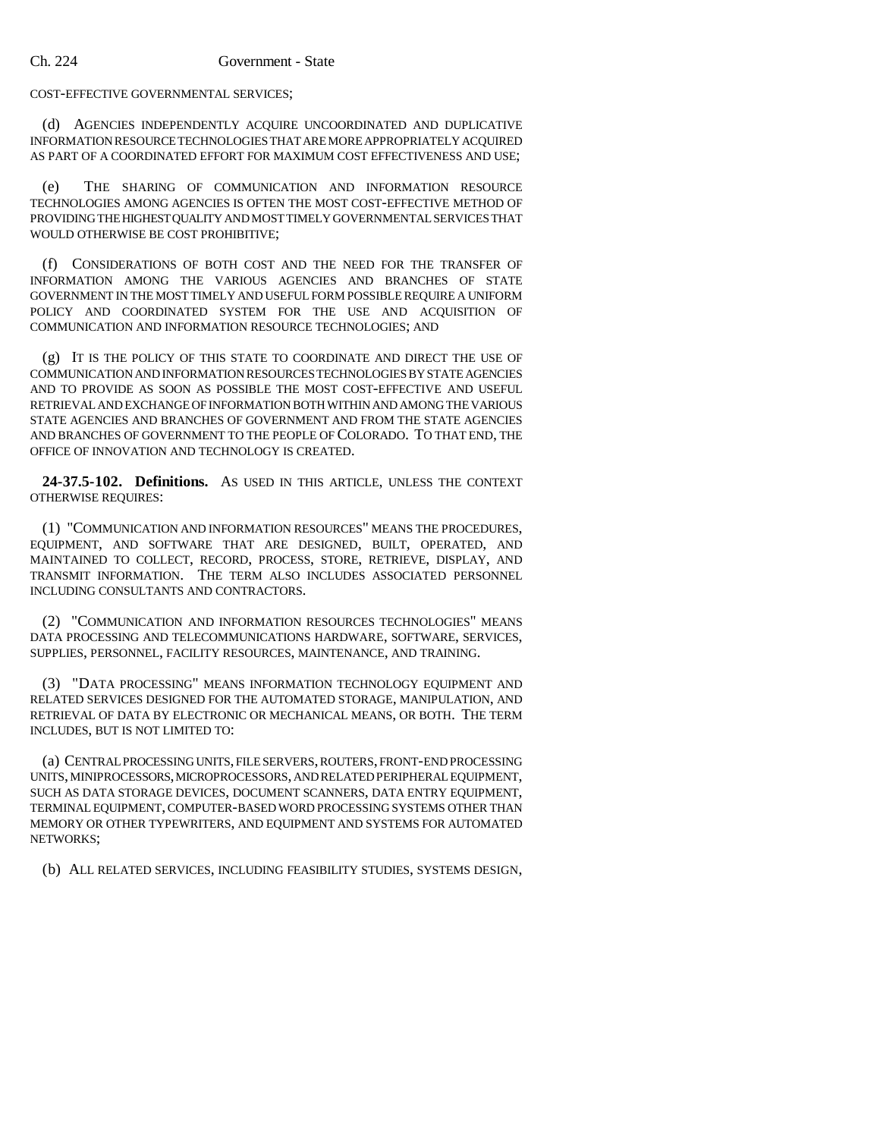#### COST-EFFECTIVE GOVERNMENTAL SERVICES;

(d) AGENCIES INDEPENDENTLY ACQUIRE UNCOORDINATED AND DUPLICATIVE INFORMATION RESOURCE TECHNOLOGIES THAT ARE MORE APPROPRIATELY ACQUIRED AS PART OF A COORDINATED EFFORT FOR MAXIMUM COST EFFECTIVENESS AND USE;

(e) THE SHARING OF COMMUNICATION AND INFORMATION RESOURCE TECHNOLOGIES AMONG AGENCIES IS OFTEN THE MOST COST-EFFECTIVE METHOD OF PROVIDING THE HIGHEST QUALITY AND MOST TIMELY GOVERNMENTAL SERVICES THAT WOULD OTHERWISE BE COST PROHIBITIVE;

(f) CONSIDERATIONS OF BOTH COST AND THE NEED FOR THE TRANSFER OF INFORMATION AMONG THE VARIOUS AGENCIES AND BRANCHES OF STATE GOVERNMENT IN THE MOST TIMELY AND USEFUL FORM POSSIBLE REQUIRE A UNIFORM POLICY AND COORDINATED SYSTEM FOR THE USE AND ACQUISITION OF COMMUNICATION AND INFORMATION RESOURCE TECHNOLOGIES; AND

(g) IT IS THE POLICY OF THIS STATE TO COORDINATE AND DIRECT THE USE OF COMMUNICATION AND INFORMATION RESOURCES TECHNOLOGIES BY STATE AGENCIES AND TO PROVIDE AS SOON AS POSSIBLE THE MOST COST-EFFECTIVE AND USEFUL RETRIEVAL AND EXCHANGE OF INFORMATION BOTH WITHIN AND AMONG THE VARIOUS STATE AGENCIES AND BRANCHES OF GOVERNMENT AND FROM THE STATE AGENCIES AND BRANCHES OF GOVERNMENT TO THE PEOPLE OF COLORADO. TO THAT END, THE OFFICE OF INNOVATION AND TECHNOLOGY IS CREATED.

**24-37.5-102. Definitions.** AS USED IN THIS ARTICLE, UNLESS THE CONTEXT OTHERWISE REQUIRES:

(1) "COMMUNICATION AND INFORMATION RESOURCES" MEANS THE PROCEDURES, EQUIPMENT, AND SOFTWARE THAT ARE DESIGNED, BUILT, OPERATED, AND MAINTAINED TO COLLECT, RECORD, PROCESS, STORE, RETRIEVE, DISPLAY, AND TRANSMIT INFORMATION. THE TERM ALSO INCLUDES ASSOCIATED PERSONNEL INCLUDING CONSULTANTS AND CONTRACTORS.

(2) "COMMUNICATION AND INFORMATION RESOURCES TECHNOLOGIES" MEANS DATA PROCESSING AND TELECOMMUNICATIONS HARDWARE, SOFTWARE, SERVICES, SUPPLIES, PERSONNEL, FACILITY RESOURCES, MAINTENANCE, AND TRAINING.

(3) "DATA PROCESSING" MEANS INFORMATION TECHNOLOGY EQUIPMENT AND RELATED SERVICES DESIGNED FOR THE AUTOMATED STORAGE, MANIPULATION, AND RETRIEVAL OF DATA BY ELECTRONIC OR MECHANICAL MEANS, OR BOTH. THE TERM INCLUDES, BUT IS NOT LIMITED TO:

(a) CENTRAL PROCESSING UNITS, FILE SERVERS, ROUTERS, FRONT-END PROCESSING UNITS, MINIPROCESSORS, MICROPROCESSORS, AND RELATED PERIPHERAL EQUIPMENT, SUCH AS DATA STORAGE DEVICES, DOCUMENT SCANNERS, DATA ENTRY EQUIPMENT, TERMINAL EQUIPMENT, COMPUTER-BASED WORD PROCESSING SYSTEMS OTHER THAN MEMORY OR OTHER TYPEWRITERS, AND EQUIPMENT AND SYSTEMS FOR AUTOMATED NETWORKS;

(b) ALL RELATED SERVICES, INCLUDING FEASIBILITY STUDIES, SYSTEMS DESIGN,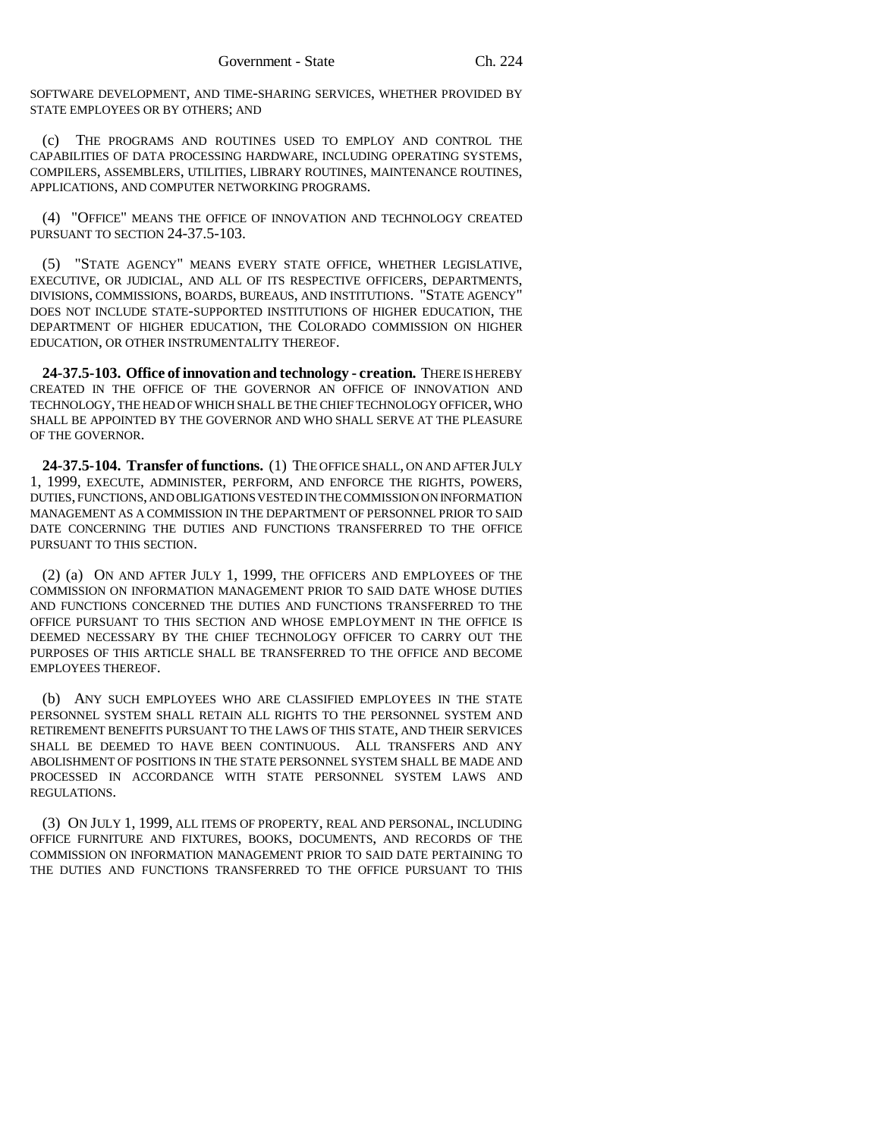SOFTWARE DEVELOPMENT, AND TIME-SHARING SERVICES, WHETHER PROVIDED BY STATE EMPLOYEES OR BY OTHERS; AND

(c) THE PROGRAMS AND ROUTINES USED TO EMPLOY AND CONTROL THE CAPABILITIES OF DATA PROCESSING HARDWARE, INCLUDING OPERATING SYSTEMS, COMPILERS, ASSEMBLERS, UTILITIES, LIBRARY ROUTINES, MAINTENANCE ROUTINES, APPLICATIONS, AND COMPUTER NETWORKING PROGRAMS.

(4) "OFFICE" MEANS THE OFFICE OF INNOVATION AND TECHNOLOGY CREATED PURSUANT TO SECTION 24-37.5-103.

(5) "STATE AGENCY" MEANS EVERY STATE OFFICE, WHETHER LEGISLATIVE, EXECUTIVE, OR JUDICIAL, AND ALL OF ITS RESPECTIVE OFFICERS, DEPARTMENTS, DIVISIONS, COMMISSIONS, BOARDS, BUREAUS, AND INSTITUTIONS. "STATE AGENCY" DOES NOT INCLUDE STATE-SUPPORTED INSTITUTIONS OF HIGHER EDUCATION, THE DEPARTMENT OF HIGHER EDUCATION, THE COLORADO COMMISSION ON HIGHER EDUCATION, OR OTHER INSTRUMENTALITY THEREOF.

**24-37.5-103. Office of innovation and technology - creation.** THERE IS HEREBY CREATED IN THE OFFICE OF THE GOVERNOR AN OFFICE OF INNOVATION AND TECHNOLOGY, THE HEAD OF WHICH SHALL BE THE CHIEF TECHNOLOGY OFFICER, WHO SHALL BE APPOINTED BY THE GOVERNOR AND WHO SHALL SERVE AT THE PLEASURE OF THE GOVERNOR.

**24-37.5-104. Transfer of functions.** (1) THE OFFICE SHALL, ON AND AFTER JULY 1, 1999, EXECUTE, ADMINISTER, PERFORM, AND ENFORCE THE RIGHTS, POWERS, DUTIES, FUNCTIONS, AND OBLIGATIONS VESTED IN THE COMMISSION ON INFORMATION MANAGEMENT AS A COMMISSION IN THE DEPARTMENT OF PERSONNEL PRIOR TO SAID DATE CONCERNING THE DUTIES AND FUNCTIONS TRANSFERRED TO THE OFFICE PURSUANT TO THIS SECTION.

(2) (a) ON AND AFTER JULY 1, 1999, THE OFFICERS AND EMPLOYEES OF THE COMMISSION ON INFORMATION MANAGEMENT PRIOR TO SAID DATE WHOSE DUTIES AND FUNCTIONS CONCERNED THE DUTIES AND FUNCTIONS TRANSFERRED TO THE OFFICE PURSUANT TO THIS SECTION AND WHOSE EMPLOYMENT IN THE OFFICE IS DEEMED NECESSARY BY THE CHIEF TECHNOLOGY OFFICER TO CARRY OUT THE PURPOSES OF THIS ARTICLE SHALL BE TRANSFERRED TO THE OFFICE AND BECOME EMPLOYEES THEREOF.

(b) ANY SUCH EMPLOYEES WHO ARE CLASSIFIED EMPLOYEES IN THE STATE PERSONNEL SYSTEM SHALL RETAIN ALL RIGHTS TO THE PERSONNEL SYSTEM AND RETIREMENT BENEFITS PURSUANT TO THE LAWS OF THIS STATE, AND THEIR SERVICES SHALL BE DEEMED TO HAVE BEEN CONTINUOUS. ALL TRANSFERS AND ANY ABOLISHMENT OF POSITIONS IN THE STATE PERSONNEL SYSTEM SHALL BE MADE AND PROCESSED IN ACCORDANCE WITH STATE PERSONNEL SYSTEM LAWS AND REGULATIONS.

(3) ON JULY 1, 1999, ALL ITEMS OF PROPERTY, REAL AND PERSONAL, INCLUDING OFFICE FURNITURE AND FIXTURES, BOOKS, DOCUMENTS, AND RECORDS OF THE COMMISSION ON INFORMATION MANAGEMENT PRIOR TO SAID DATE PERTAINING TO THE DUTIES AND FUNCTIONS TRANSFERRED TO THE OFFICE PURSUANT TO THIS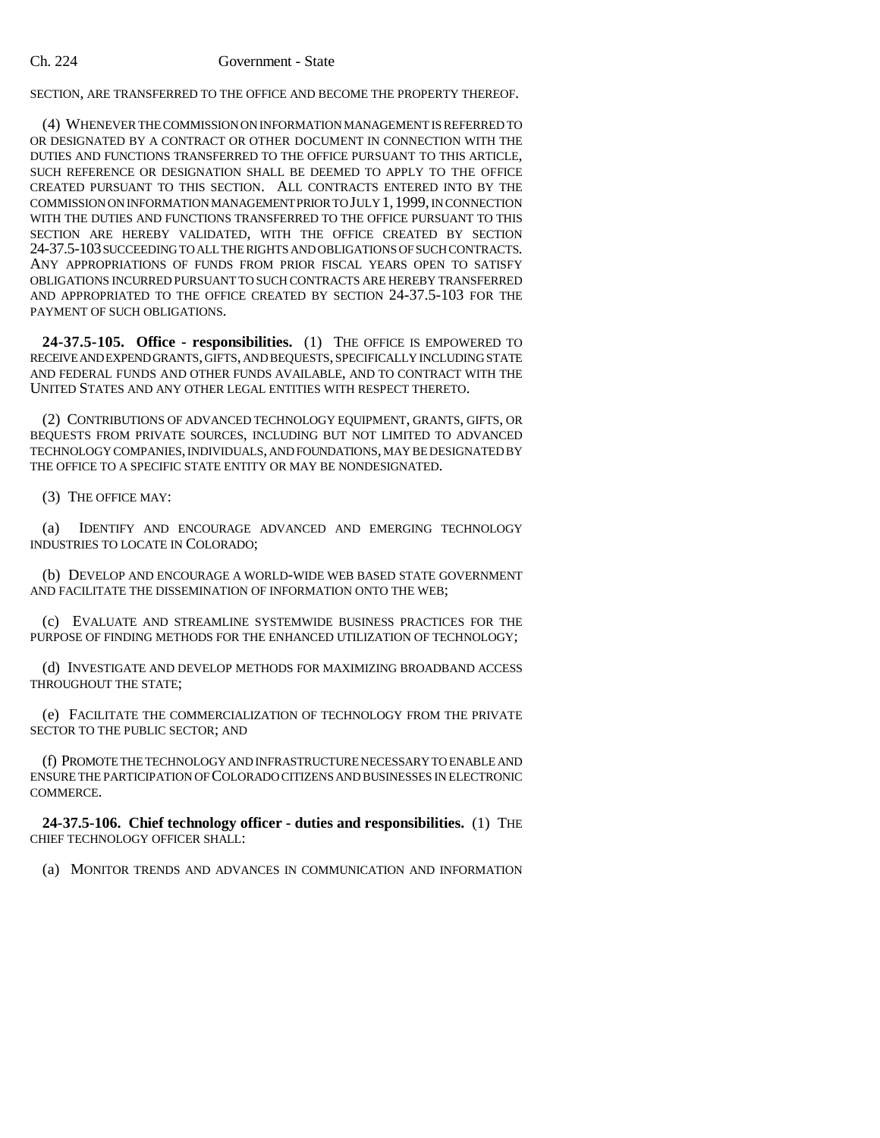SECTION, ARE TRANSFERRED TO THE OFFICE AND BECOME THE PROPERTY THEREOF.

(4) WHENEVER THE COMMISSION ON INFORMATION MANAGEMENT IS REFERRED TO OR DESIGNATED BY A CONTRACT OR OTHER DOCUMENT IN CONNECTION WITH THE DUTIES AND FUNCTIONS TRANSFERRED TO THE OFFICE PURSUANT TO THIS ARTICLE, SUCH REFERENCE OR DESIGNATION SHALL BE DEEMED TO APPLY TO THE OFFICE CREATED PURSUANT TO THIS SECTION. ALL CONTRACTS ENTERED INTO BY THE COMMISSION ON INFORMATION MANAGEMENT PRIOR TO JULY 1,1999, IN CONNECTION WITH THE DUTIES AND FUNCTIONS TRANSFERRED TO THE OFFICE PURSUANT TO THIS SECTION ARE HEREBY VALIDATED, WITH THE OFFICE CREATED BY SECTION 24-37.5-103 SUCCEEDING TO ALL THE RIGHTS AND OBLIGATIONS OF SUCH CONTRACTS. ANY APPROPRIATIONS OF FUNDS FROM PRIOR FISCAL YEARS OPEN TO SATISFY OBLIGATIONS INCURRED PURSUANT TO SUCH CONTRACTS ARE HEREBY TRANSFERRED AND APPROPRIATED TO THE OFFICE CREATED BY SECTION 24-37.5-103 FOR THE PAYMENT OF SUCH OBLIGATIONS.

**24-37.5-105. Office - responsibilities.** (1) THE OFFICE IS EMPOWERED TO RECEIVE AND EXPEND GRANTS, GIFTS, AND BEQUESTS, SPECIFICALLY INCLUDING STATE AND FEDERAL FUNDS AND OTHER FUNDS AVAILABLE, AND TO CONTRACT WITH THE UNITED STATES AND ANY OTHER LEGAL ENTITIES WITH RESPECT THERETO.

(2) CONTRIBUTIONS OF ADVANCED TECHNOLOGY EQUIPMENT, GRANTS, GIFTS, OR BEQUESTS FROM PRIVATE SOURCES, INCLUDING BUT NOT LIMITED TO ADVANCED TECHNOLOGY COMPANIES, INDIVIDUALS, AND FOUNDATIONS, MAY BE DESIGNATED BY THE OFFICE TO A SPECIFIC STATE ENTITY OR MAY BE NONDESIGNATED.

(3) THE OFFICE MAY:

(a) IDENTIFY AND ENCOURAGE ADVANCED AND EMERGING TECHNOLOGY INDUSTRIES TO LOCATE IN COLORADO;

(b) DEVELOP AND ENCOURAGE A WORLD-WIDE WEB BASED STATE GOVERNMENT AND FACILITATE THE DISSEMINATION OF INFORMATION ONTO THE WEB;

(c) EVALUATE AND STREAMLINE SYSTEMWIDE BUSINESS PRACTICES FOR THE PURPOSE OF FINDING METHODS FOR THE ENHANCED UTILIZATION OF TECHNOLOGY;

(d) INVESTIGATE AND DEVELOP METHODS FOR MAXIMIZING BROADBAND ACCESS THROUGHOUT THE STATE;

(e) FACILITATE THE COMMERCIALIZATION OF TECHNOLOGY FROM THE PRIVATE SECTOR TO THE PUBLIC SECTOR; AND

(f) PROMOTE THE TECHNOLOGY AND INFRASTRUCTURE NECESSARY TO ENABLE AND ENSURE THE PARTICIPATION OF COLORADO CITIZENS AND BUSINESSES IN ELECTRONIC COMMERCE.

**24-37.5-106. Chief technology officer - duties and responsibilities.** (1) THE CHIEF TECHNOLOGY OFFICER SHALL:

(a) MONITOR TRENDS AND ADVANCES IN COMMUNICATION AND INFORMATION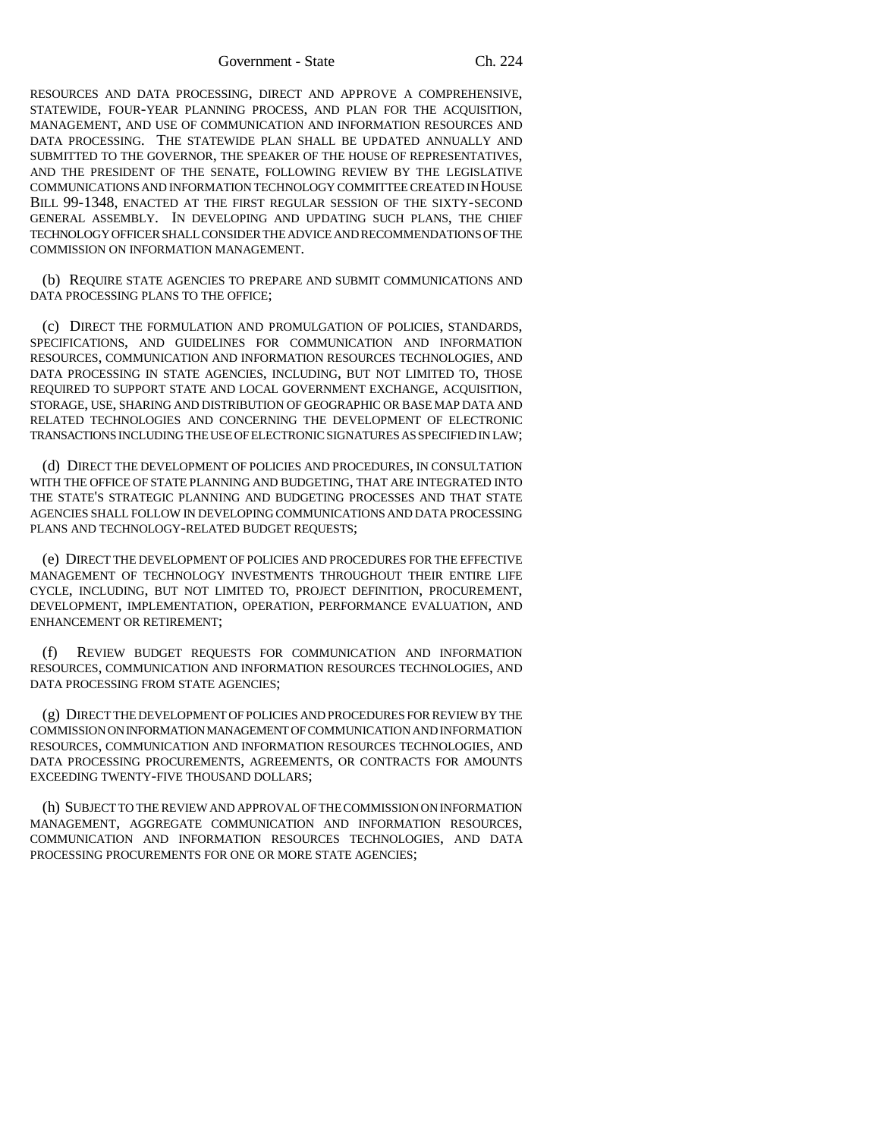Government - State Ch. 224

RESOURCES AND DATA PROCESSING, DIRECT AND APPROVE A COMPREHENSIVE, STATEWIDE, FOUR-YEAR PLANNING PROCESS, AND PLAN FOR THE ACQUISITION, MANAGEMENT, AND USE OF COMMUNICATION AND INFORMATION RESOURCES AND DATA PROCESSING. THE STATEWIDE PLAN SHALL BE UPDATED ANNUALLY AND SUBMITTED TO THE GOVERNOR, THE SPEAKER OF THE HOUSE OF REPRESENTATIVES, AND THE PRESIDENT OF THE SENATE, FOLLOWING REVIEW BY THE LEGISLATIVE COMMUNICATIONS AND INFORMATION TECHNOLOGY COMMITTEE CREATED IN HOUSE BILL 99-1348, ENACTED AT THE FIRST REGULAR SESSION OF THE SIXTY-SECOND GENERAL ASSEMBLY. IN DEVELOPING AND UPDATING SUCH PLANS, THE CHIEF TECHNOLOGY OFFICER SHALL CONSIDER THE ADVICE AND RECOMMENDATIONS OF THE COMMISSION ON INFORMATION MANAGEMENT.

(b) REQUIRE STATE AGENCIES TO PREPARE AND SUBMIT COMMUNICATIONS AND DATA PROCESSING PLANS TO THE OFFICE;

(c) DIRECT THE FORMULATION AND PROMULGATION OF POLICIES, STANDARDS, SPECIFICATIONS, AND GUIDELINES FOR COMMUNICATION AND INFORMATION RESOURCES, COMMUNICATION AND INFORMATION RESOURCES TECHNOLOGIES, AND DATA PROCESSING IN STATE AGENCIES, INCLUDING, BUT NOT LIMITED TO, THOSE REQUIRED TO SUPPORT STATE AND LOCAL GOVERNMENT EXCHANGE, ACQUISITION, STORAGE, USE, SHARING AND DISTRIBUTION OF GEOGRAPHIC OR BASE MAP DATA AND RELATED TECHNOLOGIES AND CONCERNING THE DEVELOPMENT OF ELECTRONIC TRANSACTIONS INCLUDING THE USE OF ELECTRONIC SIGNATURES AS SPECIFIED IN LAW;

(d) DIRECT THE DEVELOPMENT OF POLICIES AND PROCEDURES, IN CONSULTATION WITH THE OFFICE OF STATE PLANNING AND BUDGETING, THAT ARE INTEGRATED INTO THE STATE'S STRATEGIC PLANNING AND BUDGETING PROCESSES AND THAT STATE AGENCIES SHALL FOLLOW IN DEVELOPING COMMUNICATIONS AND DATA PROCESSING PLANS AND TECHNOLOGY-RELATED BUDGET REQUESTS;

(e) DIRECT THE DEVELOPMENT OF POLICIES AND PROCEDURES FOR THE EFFECTIVE MANAGEMENT OF TECHNOLOGY INVESTMENTS THROUGHOUT THEIR ENTIRE LIFE CYCLE, INCLUDING, BUT NOT LIMITED TO, PROJECT DEFINITION, PROCUREMENT, DEVELOPMENT, IMPLEMENTATION, OPERATION, PERFORMANCE EVALUATION, AND ENHANCEMENT OR RETIREMENT;

(f) REVIEW BUDGET REQUESTS FOR COMMUNICATION AND INFORMATION RESOURCES, COMMUNICATION AND INFORMATION RESOURCES TECHNOLOGIES, AND DATA PROCESSING FROM STATE AGENCIES;

(g) DIRECT THE DEVELOPMENT OF POLICIES AND PROCEDURES FOR REVIEW BY THE COMMISSION ON INFORMATION MANAGEMENT OF COMMUNICATION AND INFORMATION RESOURCES, COMMUNICATION AND INFORMATION RESOURCES TECHNOLOGIES, AND DATA PROCESSING PROCUREMENTS, AGREEMENTS, OR CONTRACTS FOR AMOUNTS EXCEEDING TWENTY-FIVE THOUSAND DOLLARS;

(h) SUBJECT TO THE REVIEW AND APPROVAL OF THE COMMISSION ON INFORMATION MANAGEMENT, AGGREGATE COMMUNICATION AND INFORMATION RESOURCES, COMMUNICATION AND INFORMATION RESOURCES TECHNOLOGIES, AND DATA PROCESSING PROCUREMENTS FOR ONE OR MORE STATE AGENCIES;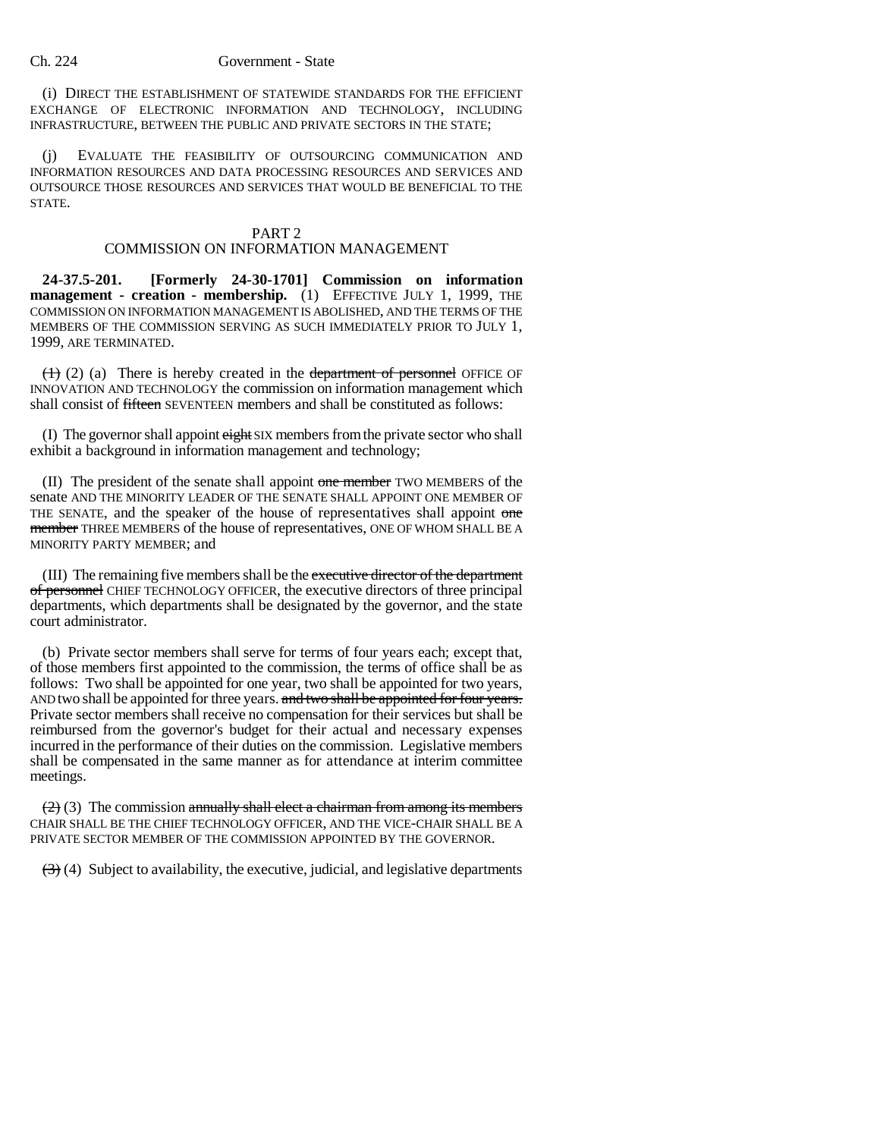(i) DIRECT THE ESTABLISHMENT OF STATEWIDE STANDARDS FOR THE EFFICIENT EXCHANGE OF ELECTRONIC INFORMATION AND TECHNOLOGY, INCLUDING INFRASTRUCTURE, BETWEEN THE PUBLIC AND PRIVATE SECTORS IN THE STATE;

(j) EVALUATE THE FEASIBILITY OF OUTSOURCING COMMUNICATION AND INFORMATION RESOURCES AND DATA PROCESSING RESOURCES AND SERVICES AND OUTSOURCE THOSE RESOURCES AND SERVICES THAT WOULD BE BENEFICIAL TO THE STATE.

## PART 2

## COMMISSION ON INFORMATION MANAGEMENT

**24-37.5-201. [Formerly 24-30-1701] Commission on information management - creation - membership.** (1) EFFECTIVE JULY 1, 1999, THE COMMISSION ON INFORMATION MANAGEMENT IS ABOLISHED, AND THE TERMS OF THE MEMBERS OF THE COMMISSION SERVING AS SUCH IMMEDIATELY PRIOR TO JULY 1, 1999, ARE TERMINATED.

 $(1)$  (2) (a) There is hereby created in the department of personnel OFFICE OF INNOVATION AND TECHNOLOGY the commission on information management which shall consist of fifteen SEVENTEEN members and shall be constituted as follows:

(I) The governor shall appoint eight SIX members from the private sector who shall exhibit a background in information management and technology;

(II) The president of the senate shall appoint one member TWO MEMBERS of the senate AND THE MINORITY LEADER OF THE SENATE SHALL APPOINT ONE MEMBER OF THE SENATE, and the speaker of the house of representatives shall appoint one member THREE MEMBERS of the house of representatives, ONE OF WHOM SHALL BE A MINORITY PARTY MEMBER; and

(III) The remaining five members shall be the executive director of the department of personnel CHIEF TECHNOLOGY OFFICER, the executive directors of three principal departments, which departments shall be designated by the governor, and the state court administrator.

(b) Private sector members shall serve for terms of four years each; except that, of those members first appointed to the commission, the terms of office shall be as follows: Two shall be appointed for one year, two shall be appointed for two years, AND two shall be appointed for three years. and two shall be appointed for four years. Private sector members shall receive no compensation for their services but shall be reimbursed from the governor's budget for their actual and necessary expenses incurred in the performance of their duties on the commission. Legislative members shall be compensated in the same manner as for attendance at interim committee meetings.

 $(2)$  (3) The commission annually shall elect a chairman from among its members CHAIR SHALL BE THE CHIEF TECHNOLOGY OFFICER, AND THE VICE-CHAIR SHALL BE A PRIVATE SECTOR MEMBER OF THE COMMISSION APPOINTED BY THE GOVERNOR.

 $(3)$  (4) Subject to availability, the executive, judicial, and legislative departments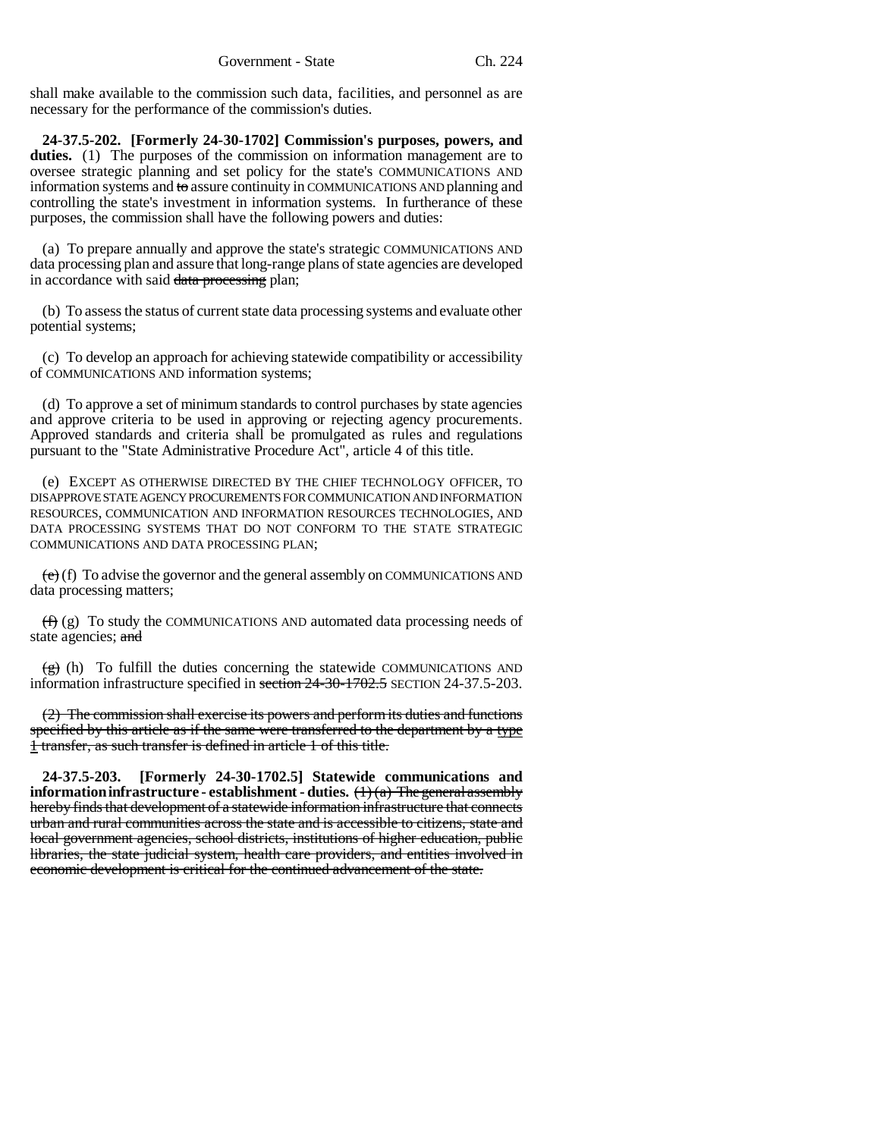shall make available to the commission such data, facilities, and personnel as are necessary for the performance of the commission's duties.

**24-37.5-202. [Formerly 24-30-1702] Commission's purposes, powers, and** duties. (1) The purposes of the commission on information management are to oversee strategic planning and set policy for the state's COMMUNICATIONS AND information systems and to assure continuity in COMMUNICATIONS AND planning and controlling the state's investment in information systems. In furtherance of these purposes, the commission shall have the following powers and duties:

(a) To prepare annually and approve the state's strategic COMMUNICATIONS AND data processing plan and assure that long-range plans of state agencies are developed in accordance with said data processing plan;

(b) To assess the status of current state data processing systems and evaluate other potential systems;

(c) To develop an approach for achieving statewide compatibility or accessibility of COMMUNICATIONS AND information systems;

(d) To approve a set of minimum standards to control purchases by state agencies and approve criteria to be used in approving or rejecting agency procurements. Approved standards and criteria shall be promulgated as rules and regulations pursuant to the "State Administrative Procedure Act", article 4 of this title.

(e) EXCEPT AS OTHERWISE DIRECTED BY THE CHIEF TECHNOLOGY OFFICER, TO DISAPPROVE STATE AGENCY PROCUREMENTS FOR COMMUNICATION AND INFORMATION RESOURCES, COMMUNICATION AND INFORMATION RESOURCES TECHNOLOGIES, AND DATA PROCESSING SYSTEMS THAT DO NOT CONFORM TO THE STATE STRATEGIC COMMUNICATIONS AND DATA PROCESSING PLAN;

 $(e)$  (f) To advise the governor and the general assembly on COMMUNICATIONS AND data processing matters;

 $(f)$  (g) To study the COMMUNICATIONS AND automated data processing needs of state agencies; and

 $\overline{(g)}$  (h) To fulfill the duties concerning the statewide COMMUNICATIONS AND information infrastructure specified in section 24-30-1702.5 SECTION 24-37.5-203.

(2) The commission shall exercise its powers and perform its duties and functions specified by this article as if the same were transferred to the department by a type 1 transfer, as such transfer is defined in article 1 of this title.

**24-37.5-203. [Formerly 24-30-1702.5] Statewide communications and information infrastructure - establishment - duties.** (1) (a) The general assembly hereby finds that development of a statewide information infrastructure that connects urban and rural communities across the state and is accessible to citizens, state and local government agencies, school districts, institutions of higher education, public libraries, the state judicial system, health care providers, and entities involved in economic development is critical for the continued advancement of the state.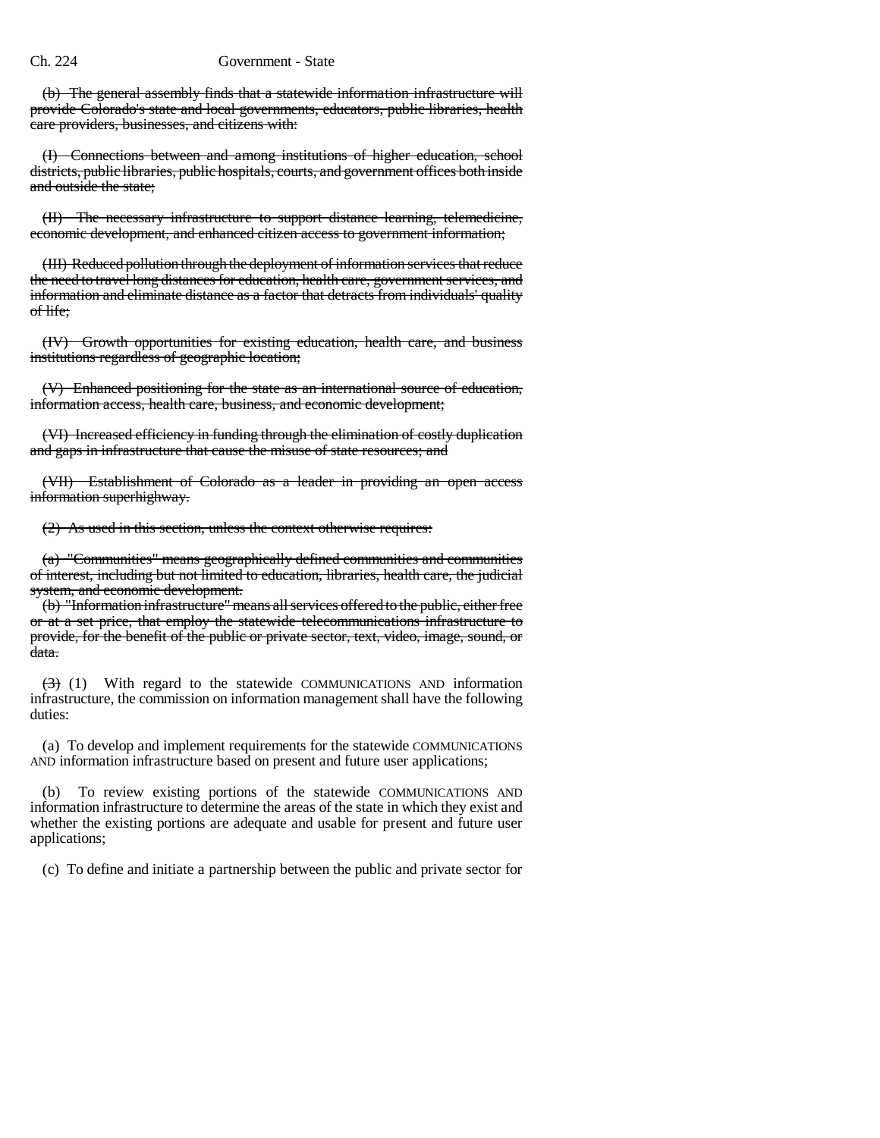(b) The general assembly finds that a statewide information infrastructure will provide Colorado's state and local governments, educators, public libraries, health care providers, businesses, and citizens with:

(I) Connections between and among institutions of higher education, school districts, public libraries, public hospitals, courts, and government offices both inside and outside the state;

(II) The necessary infrastructure to support distance learning, telemedicine, economic development, and enhanced citizen access to government information;

(III) Reduced pollution through the deployment of information services that reduce the need to travel long distances for education, health care, government services, and information and eliminate distance as a factor that detracts from individuals' quality of life;

(IV) Growth opportunities for existing education, health care, and business institutions regardless of geographic location;

(V) Enhanced positioning for the state as an international source of education, information access, health care, business, and economic development;

(VI) Increased efficiency in funding through the elimination of costly duplication and gaps in infrastructure that cause the misuse of state resources; and

(VII) Establishment of Colorado as a leader in providing an open access information superhighway.

(2) As used in this section, unless the context otherwise requires:

(a) "Communities" means geographically defined communities and communities of interest, including but not limited to education, libraries, health care, the judicial system, and economic development.

(b) "Information infrastructure" means all services offered to the public, either free or at a set price, that employ the statewide telecommunications infrastructure to provide, for the benefit of the public or private sector, text, video, image, sound, or data.

 $\left(\frac{1}{2}\right)$  (1) With regard to the statewide COMMUNICATIONS AND information infrastructure, the commission on information management shall have the following duties:

(a) To develop and implement requirements for the statewide COMMUNICATIONS AND information infrastructure based on present and future user applications;

(b) To review existing portions of the statewide COMMUNICATIONS AND information infrastructure to determine the areas of the state in which they exist and whether the existing portions are adequate and usable for present and future user applications;

(c) To define and initiate a partnership between the public and private sector for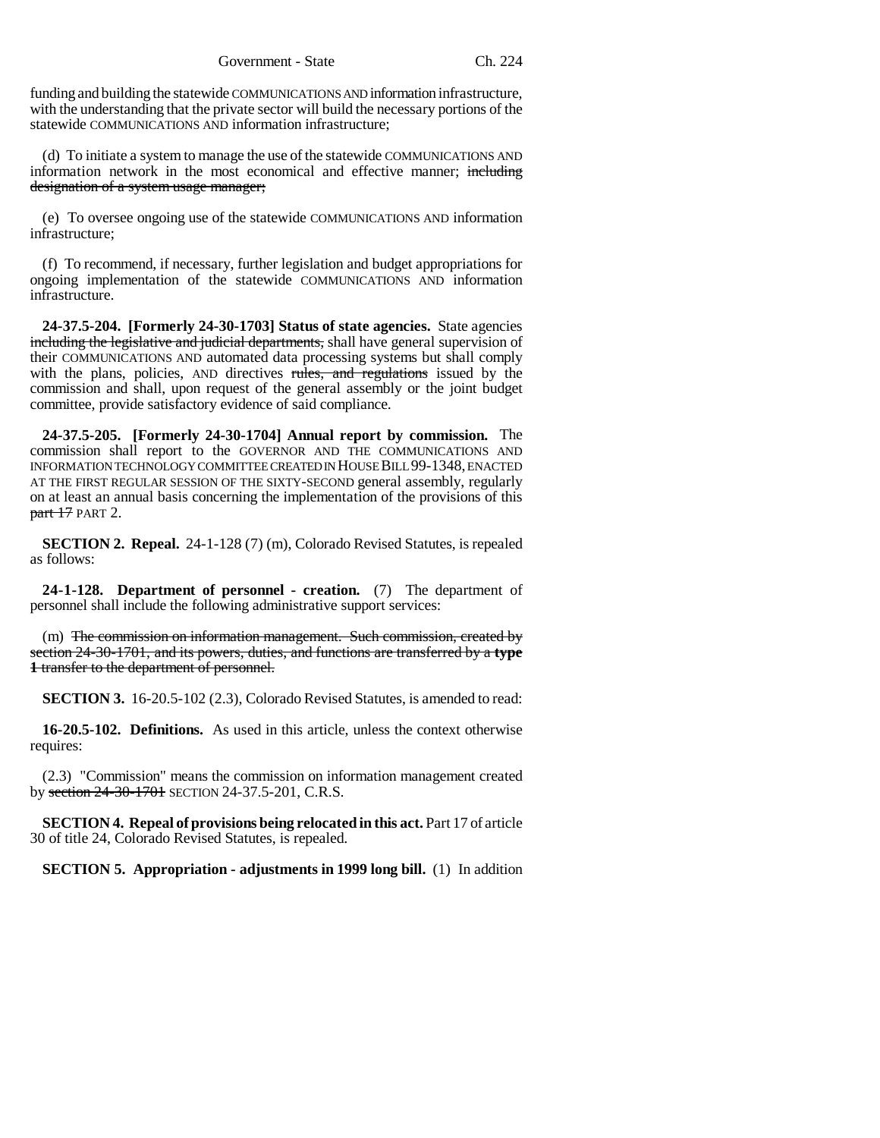funding and building the statewide COMMUNICATIONS AND information infrastructure, with the understanding that the private sector will build the necessary portions of the statewide COMMUNICATIONS AND information infrastructure;

(d) To initiate a system to manage the use of the statewide COMMUNICATIONS AND information network in the most economical and effective manner; including designation of a system usage manager;

(e) To oversee ongoing use of the statewide COMMUNICATIONS AND information infrastructure;

(f) To recommend, if necessary, further legislation and budget appropriations for ongoing implementation of the statewide COMMUNICATIONS AND information infrastructure.

**24-37.5-204. [Formerly 24-30-1703] Status of state agencies.** State agencies including the legislative and judicial departments, shall have general supervision of their COMMUNICATIONS AND automated data processing systems but shall comply with the plans, policies, AND directives rules, and regulations issued by the commission and shall, upon request of the general assembly or the joint budget committee, provide satisfactory evidence of said compliance.

**24-37.5-205. [Formerly 24-30-1704] Annual report by commission.** The commission shall report to the GOVERNOR AND THE COMMUNICATIONS AND INFORMATION TECHNOLOGY COMMITTEE CREATED IN HOUSE BILL 99-1348, ENACTED AT THE FIRST REGULAR SESSION OF THE SIXTY-SECOND general assembly, regularly on at least an annual basis concerning the implementation of the provisions of this part 17 PART 2.

**SECTION 2. Repeal.** 24-1-128 (7) (m), Colorado Revised Statutes, is repealed as follows:

**24-1-128. Department of personnel - creation.** (7) The department of personnel shall include the following administrative support services:

(m) The commission on information management. Such commission, created by section 24-30-1701, and its powers, duties, and functions are transferred by a **type 1** transfer to the department of personnel.

**SECTION 3.** 16-20.5-102 (2.3), Colorado Revised Statutes, is amended to read:

**16-20.5-102. Definitions.** As used in this article, unless the context otherwise requires:

(2.3) "Commission" means the commission on information management created by section 24-30-1701 SECTION 24-37.5-201, C.R.S.

**SECTION 4. Repeal of provisions being relocated in this act.** Part 17 of article 30 of title 24, Colorado Revised Statutes, is repealed.

**SECTION 5. Appropriation - adjustments in 1999 long bill.** (1) In addition